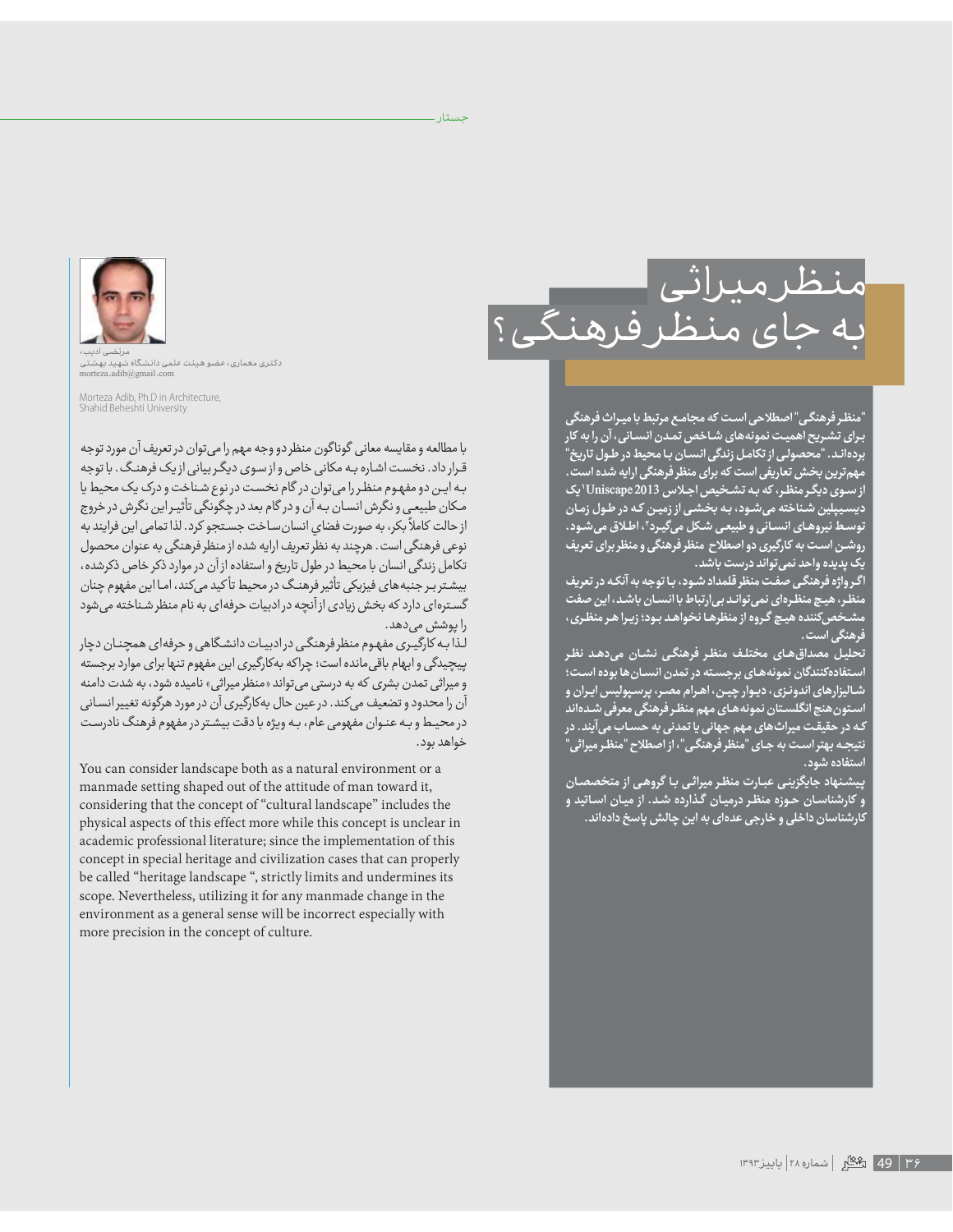حستار ۔



"منظر فرهنگی" اصطلاحی است که مجامع مرتبط با میراث فرهنگی بـرای تشـریح اهمیـت نمونههای شـاخص تمـدن انسـانی، آن را به کار بردهانـد. "محصولـى از تكامـل زندگى انسـان بـا محيط در طـول تاريخ" مهم ترین بخش تعاریفی است که برای منظر فرهنگی ارایه شده است . از سوی دیگر منظر ، که به تشخیص اجلاس Uniscape 2013 'یک<br>از سوی دیگر منظر ، که به تشخیص اجلاس Uniscape 2013 'یک توسط نیروهای انسانی و طبیعی شکل میگیرد"، اطلاق میشود. روشـن اسـت به کارگیری دو اصطلاح منظر فرهنگی و منظر برای تعریف یک پدیده واحد نمی تواند درست باشد.

اگر واژه فرهنگی صفت منظر قلمداد شـود، بـا توجه به آنکـه در تعریف منظر، هیچ منظرهای نمی تواند بی ارتباط با انسان باشد، این صفت مشـخصکننده هیـچ گـروه از منظرهـا نخواهـد بـود؛ زیـرا هـر منظـری ، فرهنگی است .

۔<br>تحلیل مصداق *ه*ای مختلف منظر فرهنگی نشان میدهد نظر .<br>ستفادهکنندگان نمونههای برجسته در تمدن انسـان ها بوده اسـت؛ شـالیزارهای اندونـزی، دیـوار چیـن، اهـرام مصـر، پرسـپولیس ایـران و ستون هنج انگلستان نمونه هـاي مهم منظـر فرهنگي معرفي شـدهاند کـه در حقیقـت میراثهای مهم جهانی یا تمدنی به حسـاب میآیند. در نتیجـه بهتراسـت به جـای "منظر فرهنگـی"، از اصطلاح "منظـر میراثی" 

<sub>ت</sub>یشنهاد جایگزین*ی* عبارت منظر میراث*ی* با گروهی از متخصصان و کارشناسان حوزه منظر درمیان گذارده شد. از میان اساتید و کارشناسان داخلی و خارجی عدهای به این چالش پاسخ دادهاند.



۔<br>دکتری معماری، عضو ھیئت علمی دانشگاہ شھید بھشتی<br>morteza .adib@gmail .com

Morteza Adib, Ph.D in Architecture,<br>Shahid Beheshti University

با مطالعه و مقايسه معاني گوناگون منظر دو وجه مهم را مي توان در تعريف آن مورد توجه قرار داد. نخست اشاره به مکانی خاص و از سوی دیگر بیانی از یک فرهنگ. با توجه به این دو مفهوم منظر را می توان در گام نخست در نوع شناخت و درک یک محیط یا مکان طبیعی و نگرش انسان به آن و در گام بعد در چگونگی تأثیراین نگرش در خروج از حالت کاملاً بکر، به صورت فضای انسان ساخت جستجو کرد. لذا تمامی این فرایند به نوعی فرهنگی است. هرچند به نظر تعریف ارایه شده از منظر فرهنگی به عنوان محصول تکامل زندگی انسان با محیط در طول تاریخ و استفاده از آن در موارد ذکر خاص ذکرشده، بیشتر بر جنبههای فیزیکی تأثیر فرهنگ در محیط تأکید میکند، اما این مفهوم چنان گسترهای دارد که بخش زیادی از آنچه در ادبیات حرفهای به نام منظر شـناخته می شود را پوشش می دهد.

لـذا بـه کارگیـری مفهوم منظر فرهنگـی در ادبیـات دانشـگاهی و حرفه|ی همجـنـان دچار پیچیدگی و ابهام باقی مانده است؛ چراکه بهکارگیری این مفهوم تنها برای موارد برجسته و میراثی تمدن بشری که به درستی می تواند «منظر میراثی» نامیده شود، به شدت دامنه آن را محدود و تضعیف میکند. در عین حال بهکارگیری آن در مورد هرگونه تغییر انسانی در محیط و بـه عنـوان مفهومی عام، بـه ویژه با دقت بیشـتر در مفهوم فرهنگ نادرسـت خواهد بود.

You can consider landscape both as a natural environment or a manmade setting shaped out of the attitude of man toward it, considering that the concept of "cultural landscape" includes the physical aspects of this effect more while this concept is unclear in academic professional literature; since the implementation of this concept in special heritage and civilization cases that can properly be called "heritage landscape ", strictly limits and undermines its scope. Nevertheless, utilizing it for any manmade change in the environment as a general sense will be incorrect especially with more precision in the concept of culture.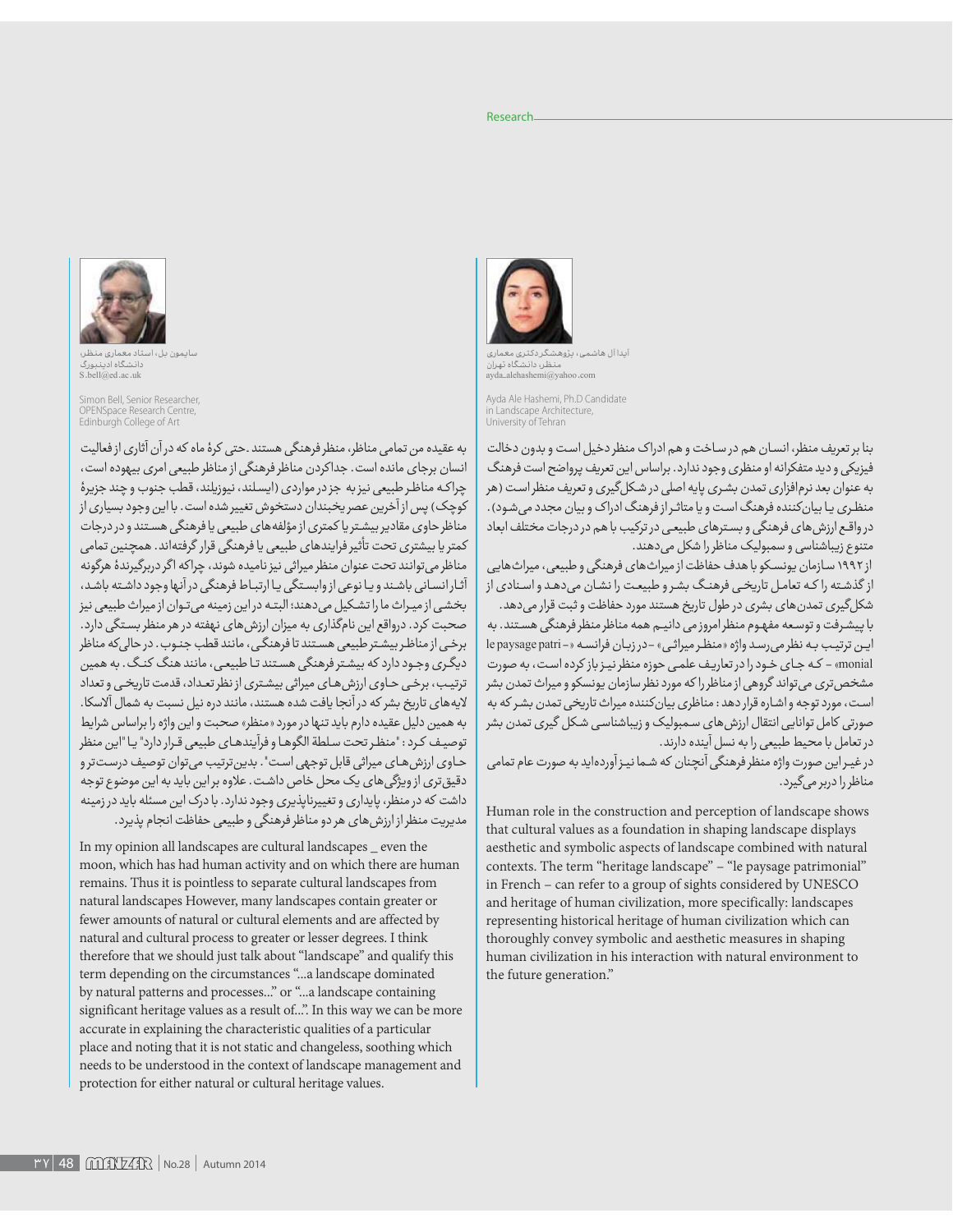.<br>ابدا آل هاشمی، بژوهـ منظر، دانشگاه تهران<br>avda alehashemi@vahoo.com

> Ayda Ale Hashemi, Ph.D Candidate Landscape Architecture, University of Tehran

بنا بر تعریف منظر، انسان هم در ساخت و هم ادراک منظر دخیل است و بدون دخالت فیزیکی و دید متفکرانه او منظری وجود ندارد. براساس این تعریف پرواضح است فرهنگ به عنوان بعد نرمافزاري تمدن بشري پايه اصلي در شكل گيري و تعريف منظراست (هر منظری یا بیان کننده فرهنگ است و یا متاثر از فرهنگ ادراک و بیان مجدد می شود). درواقع ارزش های فرهنگی و بسترهای طبیعی در ترکیب با هم در درجات مختلف ابعاد متنوع زیباشناسی و سمبولیک مناظر را شکل می دهند.

از ۱۹۹۲ سازمان پونسکو با هدف حفاظت از میراث های فرهنگی و طبیعی، میراث هایی از گذشته را كه تعامل تاریخی فرهنگ بشر و طبیعت را نشان میدهد و اسنادی از شکل گیری تمدن های بشری در طول تاریخ هستند مورد حفاظت و ثبت قرار میدهد. با پیشرفت و توسعه مفهوم منظرامروزمی دانیم همه مناظر منظر فرهنگی هستند. به اين ترتيب به نظر مي رسد واژه «منظر ميراثي» -در زبان فرانسه «- le paysage patri monial» - که جای خود را در تعاریف علمی حوزه منظر نیز باز کرده است، به صورت مشخص تری می تواند گروهی از مناظر را که مورد نظر سازمان پونسکو و میراث تمدن بشر است، مورد توجه واشاره قرار دهد: مناظری بیان کننده میراث تاریخی تمدن بشر که به صورتی کامل توانایی انتقال ارزش های سمبولیک و زیباشناسی شکل گیری تمدن بشر در تعامل با محیط طبیعی را به نسل آینده دارند.

در غیر این صورت واژه منظر فرهنگی آنچنان که شما نیز آوردهاید به صورت عام تمامی مناظر را دربر می گیرد.

Human role in the construction and perception of landscape shows that cultural values as a foundation in shaping landscape displays aesthetic and symbolic aspects of landscape combined with natural contexts. The term "heritage landscape" - "le paysage patrimonial" in French - can refer to a group of sights considered by UNESCO and heritage of human civilization, more specifically: landscapes representing historical heritage of human civilization which can thoroughly convey symbolic and aesthetic measures in shaping human civilization in his interaction with natural environment to the future generation."

.<br>سایمون بل، استاد مع ۔<br>دانشگاه ادینبورگ

S.hell@ed.ac.uk

Simon Bell, Senior Researcher, **Space Research** Edinburgh College of Art

به عقیده من تمامی مناظر، منظر فرهنگی هستند .حتی کرهٔ ماه که در آن آثاری از فعالیت انسان برجای مانده است. جداکردن مناظر فرهنگی از مناظر طبیعی امری بیهوده است، چراكه مناظر طبيعي نيزبه جزدر مواردي (ايسلند، نيوزيلند، قطب جنوب و چند جزيرهُ کوچک) پس از آخرین عصر یخبندان دستخوش تغییر شده است. با این وجود بسیاری از مناظر حاوی مقادیر بیشتریا کمتری از مؤلفههای طبیعی یا فرهنگی هستند و در درجات کمتر یا بیشتری تحت تأثیر فرایندهای طبیعی یا فرهنگی قرار گرفتهاند. همچنین تمامی مناظر مي توانند تحت عنوان منظر ميراثي نيز ناميده شوند، چراكه اگر دربرگيرندهٔ هرگونه آثارانسانی باشند و یا نوعی ازوابستگی یا ارتباط فرهنگی درآنها وجود داشته باشد، بخشی ازمیراث ما را تشکیل میدهند؛ البته در این زمینه میتوان ازمیراث طبیعی نیز صحبت کرد. درواقع این نامگذاری به میزان ارزش های نهفته در هر منظر بستگی دارد. برخی از مناظر بیشتر طبیعی هستند تا فرهنگی، مانند قطب جنبوب. در حالی که مناظر دیگری وجود دارد که بیشتر فرهنگی هستند تا طبیعی، مانند هنگ کنگ. به همین ترتیب، برخی حاوی ارزش های میراثی بیشتری از نظر تعداد، قدمت تاریخی و تعداد لایههای تاریخ بشر که در آنجا یافت شده هستند، مانند دره نیل نسبت به شمال آلاسکا. به همین دلیل عقیده دارم باید تنها در مورد «منظر» صحبت و این واژه را براساس شرایط توصيف كرد : "منظر تحت سلطة الگوهـا و فرآيندهـاي طبيعي قـرار دارد" يـا "اين منظر حاوى ارزش هاى ميراثى قابل توجهى است". بدين ترتيب مى توان توصيف درست ترو دقیق تری از ویژگی های یک محل خاص داشت. علاوه بر این باید به این موضوع توجه داشت که در منظر، پایداری و تغییرناپذیری وجود ندارد. با درک این مسئله باید در زمینه مدیریت منظر از ارزش های هر دو مناظر فرهنگی و طبیعی حفاظت انجام پذیرد.

In my opinion all landscapes are cultural landscapes \_ even the moon, which has had human activity and on which there are human remains. Thus it is pointless to separate cultural landscapes from natural landscapes However, many landscapes contain greater or fewer amounts of natural or cultural elements and are affected by natural and cultural process to greater or lesser degrees. I think therefore that we should just talk about "landscape" and qualify this term depending on the circumstances "...a landscape dominated by natural patterns and processes..." or "...a landscape containing significant heritage values as a result of...". In this way we can be more accurate in explaining the characteristic qualities of a particular place and noting that it is not static and changeless, soothing which needs to be understood in the context of landscape management and protection for either natural or cultural heritage values.

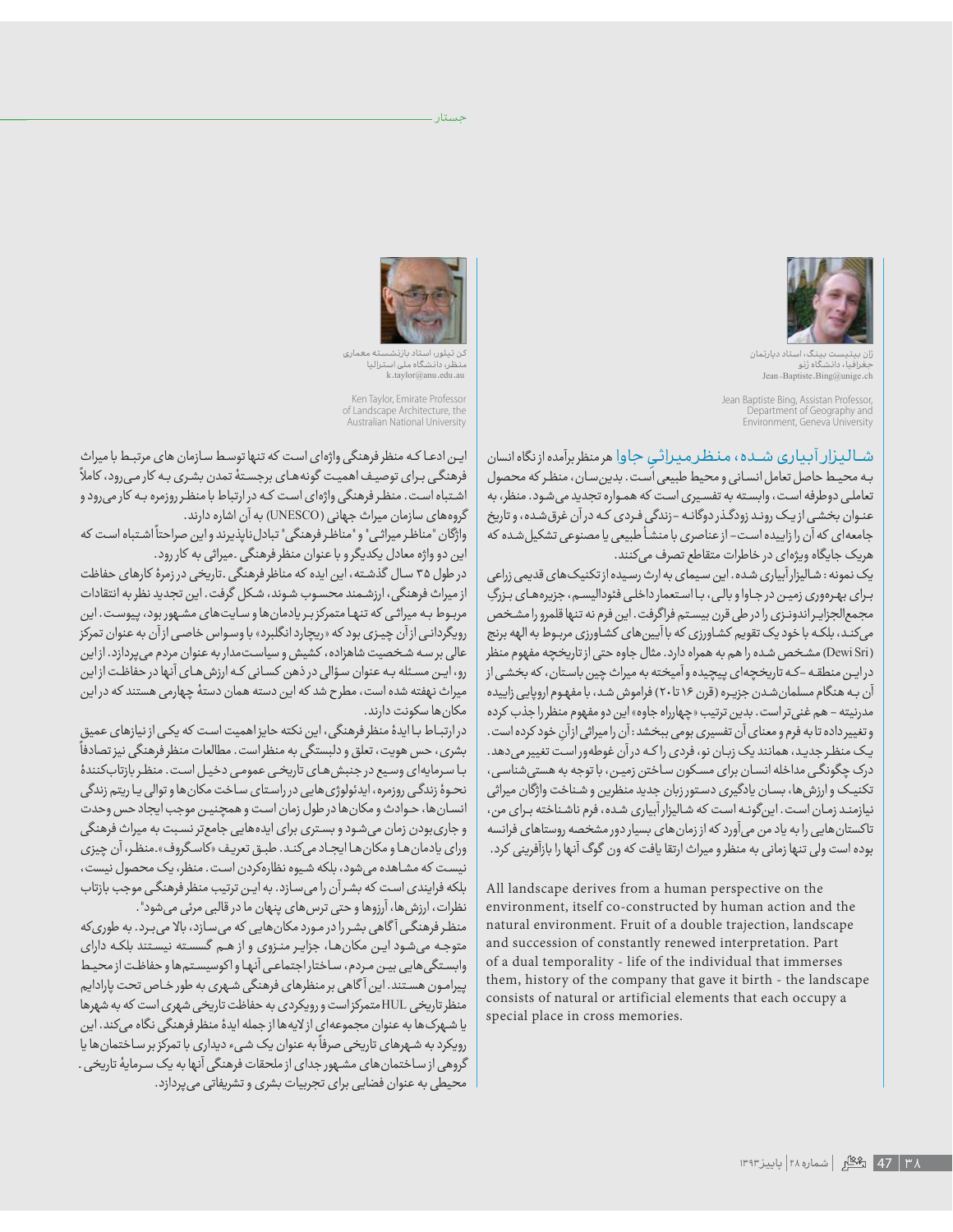

ت بینگ، استاد دیارتمان جغرافیاً، دانشگاه ژنو Jean-Baptiste.Bing@unige.ch

Jean Baptiste Bing, Assistan Professor, Department of Geography and Environment, Geneva University

شــالـيـزار آبـيـارى شـــده ، مـنـظـر مـيـراثـيِ جـاوا هرمنظربرآمده از نگاه انسان<br>بـه محيـط حاصل تعامل انسـانى و محيط طبيعى اُست . بدين سـان ، منظـر كه محصول تعاملی دوطرفه است، وابسته به تفسیری است که همواره تجدید می شود. منظر، به عنـوان بخشـي ازيـک رونـد زودگـذر دوگانـه -زندگي فـردي کـه در آن غرق شـده، و تاريخ جامعهای که آن را زاییده است- ازعناصری با منشأ طبیعی یا مصنوعی تشکیل شده که هريک جايگاه ويژهاى در خاطرات متقاطع تصرف مى كنند.

یک نمونه : شالیزار آبیاری شده. این سیمای به ارث رسیده از تکنیکهای قدیمی زراعی برای بهرهوری زمین در جاوا و بالی، با استعمار داخلی فئودالیسم، جزیرههای بزرگِ مجمع الجزايـراندونـزى را در طى قرن بيسـتم فراگرفت. اين فرم نه تنها قلمرو را مشخص می کند، بلکه با خود یک تقویم کشاورزی که با آیین های کشاورزی مربوط به الهه برنج (Dewi Sri) مشخص شده را هم به همراه دارد. مثال جاوه حتى از تاريخچه مفهوم منظر درایـن منطقـه –کـه تاریخچهای پیچیده وآمیخته به میراث چین باسـتان، که بخشـی از آن به هنگام مسلمان شدن جزیره (قرن ۱۶ تا ۲۰) فراموش شد، با مفهوم اروپایی زاییده مدرنيته – هم غني تراست . بدين ترتيب «چهارراه جاوه» اين دو مفهوم منظر را جذب كرده و تغییر داده تا به فرم و معنای آن تفسیری بومی ببخشد : آن را میراثی از آن خود کرده است . یک منظر جدید، همانند یک زبان نو، فردی را که در آن غوطهور است تغییر میدهد. درک چگونگی مداخله انسان برای مسکون ساختن زمین، با توجه به هستی شناسی، تکنیک و ارزش ها، بسان یادگیری دستور زبان جدید منظرین و شناخت واژگان میراثی ذيازمند زمان است. اينگونـه است كه شاليزارآبياري شده، فرم ناشناخته بـراي من، تاکستانهایی را به یاد من میآورد که از زمان های بسیار دور مشخصه روستاهای فرانسه بوده است ولی تنها زمانی به منظر و میراث ارتقا یافت که ون گوگ آنها را بازآفرینی کرد.

All landscape derives from a human perspective on the environment, itself co-constructed by human action and the natural environment. Fruit of a double trajection, landscape and succession of constantly renewed interpretation. Part of a dual temporality - life of the individual that immerses them, history of the company that gave it birth - the landscape consists of natural or artificial elements that each occupy a special place in cross memories.



جستار ـ

کن تیلوں استاد بازنشسته معماری<br>منظر، دانشگاه ملی استرالیا<br>k.taylor@anu.edu.au

Ken Taylor, Emirate Professor of Landscape Architecture, the Australian National University

ایـن ادعـا کـه منظر فرهنگی واژهای است که تنها توسـط سـازمان های مرتبـط با میراث فرهنگـی بـرای توصیـف اهمیـت گونههـای برجسـتهٔ تمدن بشـری بـه کار مـی(ود، کاملاً اشتباه است. منظر فرهنگی واژهای است که در ارتباط با منظر روزمره به کار می رود و گروههای سازمان میراث جهانی (UNESCO) به آن اشاره دارند.

ÈĆôÈdžÉÉÜËÈąÌLjNJÉÉǯËÈ <sup>g</sup> ÌNJÔËØàÈȖȸËÈăÈÖǔØȸǥǑÌǔÈùÕÌLjǒÈƕĊ÷njĈØȇÈØÉÉǷÌnjĀƕÈăÈƕĊÉÉǓËØǍĀÈØÉÉǷÌnjĀƕÈȔÌøǧËă این دو واژه معادل یکدیگر و با عنوان منظر فرهنگی .میراثی به کار رود.

در طول ۳۵ سال گذشته، این ایده که مناظر فرهنگی .تاریخی در زمرهٔ کارهای حفاظت از میراث فرهنگی، ارزشمند محسوب شوند، شکل گرفت. این تجدید نظر به انتقادات مربوط به میراثی که تنها متمرکز بر یادمان ها و سایت های مشهور بود، پیوست. این رویگردانی از آن چیـزی بود که «ریچارد انگلبرد» با وسواس خاصی از آن به عنوان تمرکز عالی برسه شخصیت شاهزاده، کشیش و سیاست مدار به عنوان مردم میپردازد. از این رو، این مسئله به عنوان سؤالی درذهن کسانی که ارزش های آنها در حفاظت ازاین میراث نهفته شده است، مطرح شد که این دسته همان دستهٔ چهارمی هستند که در این مکان ها سکونت دارند.

درارتبـاط بـاایدهٔ منظرفرهنگی، این نکته حایزاهمیت است که یکی از نیازهای عمیق بشری، حس هویت، تعلق و دلبستگی به منظر است. مطالعات منظر فرهنگی نیز تصادفاً با سرمایهای وسیع در جنبش های تاریخی عمومی دخیل است. منظر بازتاب کنندهٔ نحـوۀ زندگـی روزمره، ایدئولوژی هایی در راستای سـاخت مکان ها و توالی یـا ریتم زندگی انسانها، حوادث و مکانها در طول زمان است و همچنین موجب ایجاد حس وحدت و جاریبودن زمان میشود و بستری برای ایدههایی جامعتر نسبت به میراث فرهنگی ورای یادمان ها و مکان ها ایجاد می کند. طبق تعریف «کاسگروف».منظر، آن چیزی نیست که مشاهده میشود، بلکه شیوه نظارهکردن است. منظر، یک محصول نیست، بلکه فرایندی است که بشرآن را میسازد. به این ترتیب منظر فرهنگی موجب بازتاب نظرات، ارزشها، آرزوها و حتى ترس هاى پنهان ما در قالبى مرئى مى شود".

منظر فرهنگی آگاهی بشررا در مورد مکان هایی که میسازد، بالا میبرد. به طوریکه متوجه میشود ایـن مکانهـا، جزایـر منـزوی و از هـم گسسـته نیسـتند بلکـه دارای وابستگی هایی بین مردم، ساختار اجتماعی آنها و اکوسیستم ها و حفاظت از محیط پیرامـون هسـتند. این آگاهی بر منظرهای فرهنگی شـهری به طور خـاص تحت پارادایم منظر تاریخی HULمتمرکز است و رویکردی به حفاظت تاریخی شهری است که به شهرها یا شهرک ها به عنوان مجموعهای ازلایه ها از جمله ایدهٔ منظر فرهنگی نگاه میکند. این ی شہرے ہیں۔ اپنے کوئی میبیو کی ارکی استعمال کر استعمال کر اس کے مطلبی کے مطلبی ہیں۔<br>رویکرد به شہرهای تاریخی صرفاً به عنوان یک شیء دیداری با تمرکز بر ساختمان ها یا گروهی از ساختمانهای مشـهور جدای از ملحقات فرهنگی آنها به یک سـرمایهٔ تاریخی . محیطی به عنوان فضایی برای تجربیات بشری و تشریفاتی می پردازد.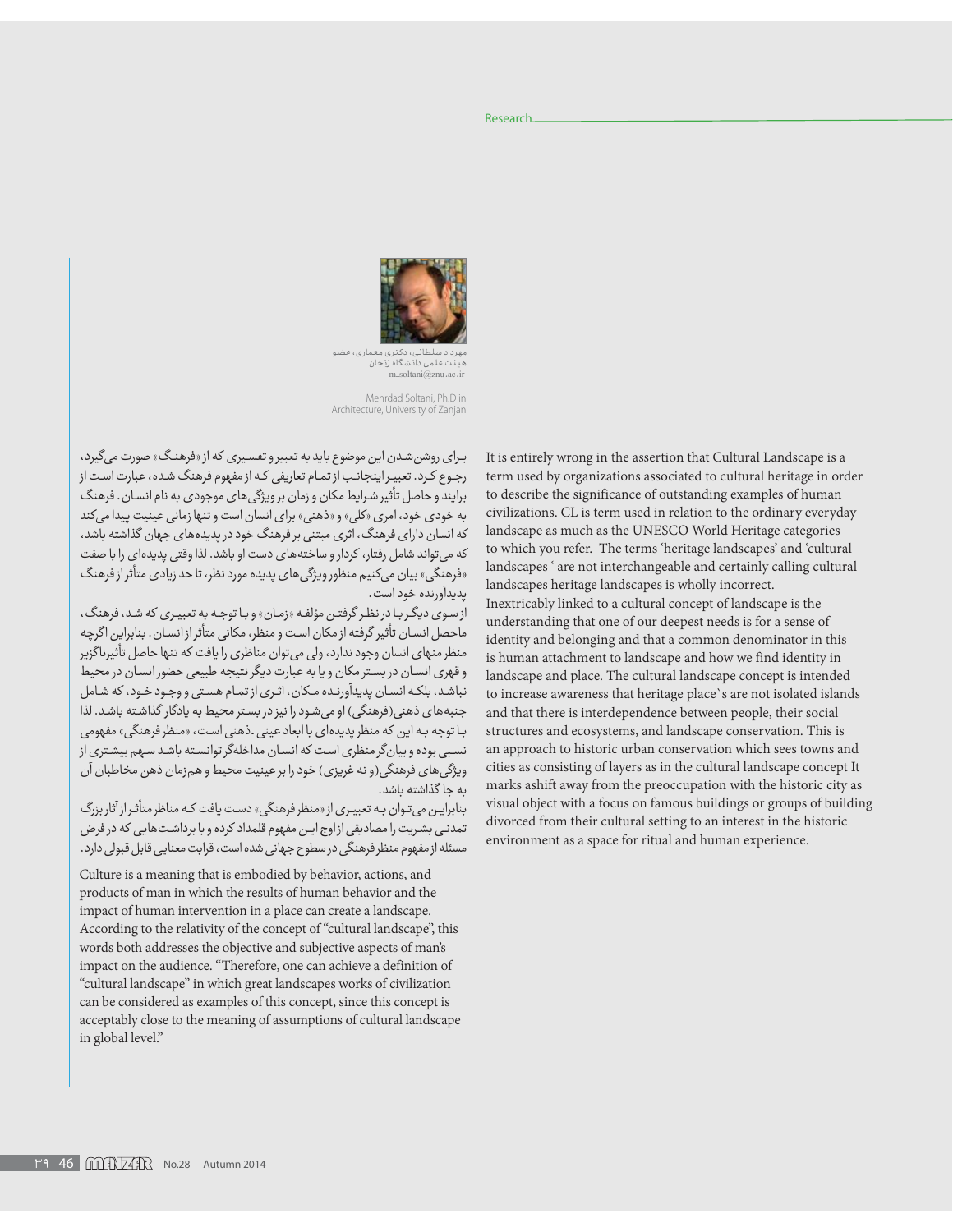

مهرداد سلطانی، دکتری معماری، عضو<br>هیئت علمی دانشگاه زنجان<br>m\_soltani@znu.ac.ir

Mehrdad Soltani, Ph.D in Architecture, University of Zanjan

برای روشنشدن این موضوع باید به تعبیر و تفسیری که از «فرهنگ» صورت میگیرد، رجوع کرد. تعبیر اینجانب از تمام تعاریفی که از مفهوم فرهنگ شده، عبارت است از برایند و حاصل تأثیر شرایط مکان و زمان برویژگیهای موجودی به نام انسان. فرهنگ به خودی خود، امری «کلی» و «ذهنی» برای انسان است و تنها زمانی عینیت پیدا میکند که انسان دارای فرهنگ، اثری مبتنی بر فرهنگ خود در پدیدههای جهان گذاشته باشد، که میتواند شامل رفتار، کردار و ساختههای دست او باشد. لذا وقتی پدیدهای را با صفت دفرهنگی» بیان میکنیم منظور ویژگیهای پدیده مورد نظر، تا حد زیادی متأثر از فرهنگ يديدآورنده خود است.

از سوی دیگر با در نظر گرفتن مؤلفه «زمان» و با توجه به تعبیری که شد، فرهنگ، ماحصل انسان تأثير گرفته از مكان است و منظر، مكانى متأثراز انسان. بنابراين اگرچه منظر منهای انسان وجود ندارد، ولی میتوان مناظری را یافت که تنها حاصل تأثیرناگزیر و قهری انسان در بستر مکان و یا به عبارت دیگر نتیجه طبیعی حضور انسان در محیط نباشد، بلکه انسان پدیدآورنده مکان، اثری از تمام هستی و وجود خود، که شامل جنبههای ذهنی(فرهنگی) او می شود را نیز در بستر محیط به یادگار گذاشته باشد. لذا با توجه به این که منظر پدیدهای با ابعاد عینی .ذهنی است، «منظر فرهنگی» مفهومی نسبی بوده و بیانگر منظری است که انسان مداخلهگر توانسته باشد سهم بیشتری از ویژگیهای فرهنگی(و نه غریزی) خود را بر عینیت محیط و همزمان ذهن مخاطبان آن ىه حا گذاشته باشد.

بنابرایین میتوان به تعبیری از «منظر فرهنگی» دست یافت که مناظر متأثر ازآثار بزرگ تمدنی بشریت را مصادیقی از اوج این مفهوم قلمداد کرده و با برداشت هایی که در فرض مسئله از مفهوم منظر فرهنگی در سطوح جهانی شده است، قرابت معنایی قابل قبولی دارد.

Culture is a meaning that is embodied by behavior, actions, and products of man in which the results of human behavior and the impact of human intervention in a place can create a landscape. According to the relativity of the concept of "cultural landscape", this words both addresses the objective and subjective aspects of man's impact on the audience. "Therefore, one can achieve a definition of "cultural landscape" in which great landscapes works of civilization can be considered as examples of this concept, since this concept is acceptably close to the meaning of assumptions of cultural landscape in global level."

It is entirely wrong in the assertion that Cultural Landscape is a term used by organizations associated to cultural heritage in order to describe the significance of outstanding examples of human civilizations. CL is term used in relation to the ordinary everyday landscape as much as the UNESCO World Heritage categories to which you refer. The terms 'heritage landscapes' and 'cultural landscapes ' are not interchangeable and certainly calling cultural landscapes heritage landscapes is wholly incorrect. Inextricably linked to a cultural concept of landscape is the understanding that one of our deepest needs is for a sense of identity and belonging and that a common denominator in this is human attachment to landscape and how we find identity in landscape and place. The cultural landscape concept is intended to increase awareness that heritage place`s are not isolated islands and that there is interdependence between people, their social structures and ecosystems, and landscape conservation. This is an approach to historic urban conservation which sees towns and cities as consisting of layers as in the cultural landscape concept It marks ashift away from the preoccupation with the historic city as visual object with a focus on famous buildings or groups of building divorced from their cultural setting to an interest in the historic environment as a space for ritual and human experience.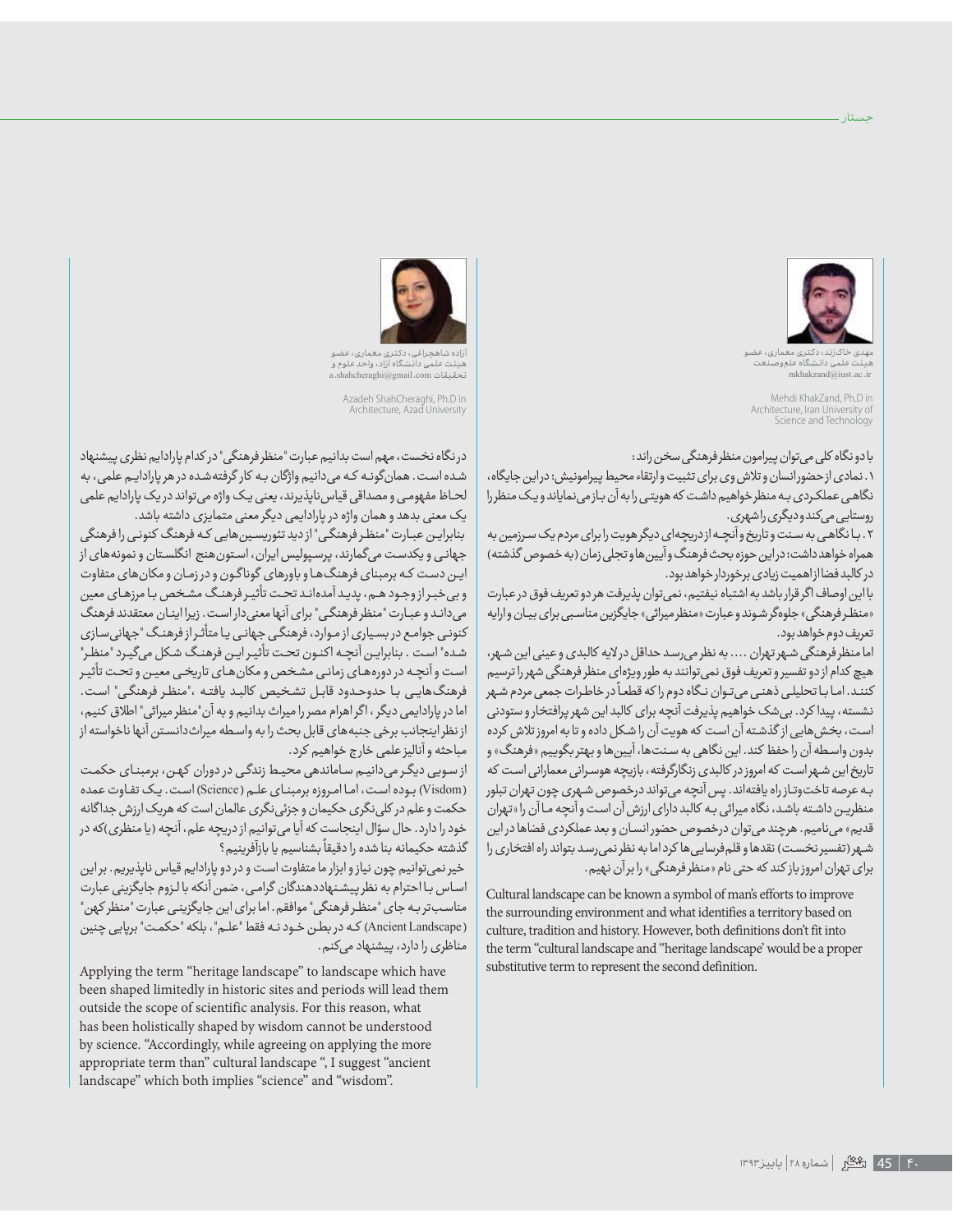

جستار .

مهدی خاکرزند، دکتری معماری، عضو<br>هیئت علمی دانشگاه علموصنعت<br>mkhakzand@iust.ac.ir

Mehdi KhakZand, Ph.D in Architecture, Iran University of Science and Technology

## با دو نگاه کلی می توان پیرامون منظر فرهنگی سخن راند:

۰. نمادى از حضور انسان وتلاش وى براى تثبيت وارتقاء محيط پيرامونيش؛ دراين جايگاه، نگاهی عملکردی به منظر خواهیم داشت که هویتی رابه آن بازمی نمایاند ویک منظررا روستایی *می کند*و دیگری راشهری.

۲. با نگاهی به سنت و تاریخ و آنچـه از دریچهای دیگر هویت را برای مردم یک سـرزمین به همراه خواهد داشت؛ دراین حوزه بحث فرهنگ وآیین ها و تجلی زمان (به خصوص گذشته) در کالبد فضا از اهمیت زیادی برخوردار خواهد بود.

بالین اوصاف اگر قرار باشد به اشتباه نیفتیم، نمیتوان پذیرفت هر دو تعریف فوق درعبارت «منظر فرهنگی» جلوهگر شوند و عبارت «منظر میراثی» جایگزین مناسبی برای بیان وارایه تعريف دوم خواهد بود.

اما منظر فرهنگی شـهرتهران .... به نظر میرسـد حداقل درلایه کالبدی و عینی این شـهر، هیچ کدام از دو تفسیرو تعریف فوق نمیتوانند به طورویژهای منظر فرهنگی شهر را ترسیم ÈØćÉÉǯÈýÕØĀÈĊçÿǡÈǂËØÉÉäÌǣÈ×ÕÈ <sup>g</sup> ÌÉÉçãȈÈĆôÈË×ÈýăÕÈąÌ÷ÉÉǔÈȔËĄÉÉǒÈĊĀÈĊÉÉnjĈǤÈĊÉÉûǍûÓǒÈÌÉÉǐÈÌÉÉĀËÈzÖÉÉnjnjô نشسته، پیدا کرد. بی شک خواهیم پذیرفت آنچه برای کالبد این شهر پرافتخار و ستودنی است، بخشهایی از گذشته آن است که هویت آن را شکل داده و تا به امروز تلاش کرده بدون واسطه آن را حفظ کند. این نگاهی به سنتها، آیینها و بهتر بگوییم «فرهنگ» و تاریخ این شهراست که امروز در کالبدی زنگارگرفته، بازیچه هوسرانی معمارانی است که بـه عرصه تاخت<code>وتـاز</code>راه یافتهاند. پس آنچه میتواند درخصوص شـهری چون تهران تبلور منظریـن داشـته باشـد، نگاه میراثی بـه کالبد دارای ارزش آن اسـت و آنچه مـا آن را «تهران قدیم» مینامیم. هرچند میتوان درخصوص حضور انسان و بعد عملکردی فضاها در این شـهر (تفسیر نخسـت) نقدها و قلم فرسایی ها کرد اما به نظر نمی رسـد بتواند راه افتخاری را برای تهران امروز باز کند که حتی نام «منظر فرهنگی» را برآن نهیم.

Cultural landscape can be known a symbol of man's efforts to improve the surrounding environment and what identifies a territory based on culture, tradition and history. However, both definitions don't fit into the term "cultural landscape and "heritage landscape' would be a proper substitutive term to represent the second definition.



چراغی، دکتری معماری، <sup>ء</sup> هیئت علمی دانشگاه آزاد، واحد علوم و<br>تحقیقات a.shahcheraghi@gmail.com

Azadeh ShahCheraghi, Ph.D in Architecture, Azad University

در نگاه نخست، مهم است بدانیم عبارت "منظرفرهنگی" در کدام پارادایم نظری پیشنهاد شده است. همانگونـه کـه میدانیم واژگان بـه کار گرفتهشده در هر یارادایـم علمی، به لحـاظ مفهومـی و مصداقی قیاس ناپذیرند، یعنی یـک واژه می تواند در یک پارادایم علمی یک معنی بدهد و همان واژه در پارادایمی دیگر معنی متمایزی داشته باشد.

بنابرایـن عبـارت "منظـر فرهنگـی" ازدید تئوریسـین هایی کـه فرهنگ کنونـی را فرهنگی جهانی و یکدست میگمارند، پرسپولیس ایران، استونهنج انگلستان و نمونههای از ایـن دست کـه برمبنای فرهنگ۱ط و باورهای گوناگـون و در زمـان و مکان های متفاوت وبی خبراز وجود هم، پدید آمدهاند تحت تأثیر فرهنگ مشخص با مرزهای معین میداند و عبارت "منظر فرهنگی" برای آنها معنیدار است. زیرا اینان معتقدند فرهنگ کنونی جوامع در بسیاری از موارد، فرهنگی جهانی یا متأثر از فرهنگ "جهانیسازی شده" است . بنابرایـن آنچـه اکنـون تحـت تأثیـر ایـن فرهنـگ شـکل میگیـرد "منظـر" است و آنچـه در دورههـای زمانـی مشـخص و مکان هـای تاریخـی معیـن و تحـت تأثیـر فرهنگهایی با حدوحدود قابل تشخیص كالبد يافته ،"منظر فرهنگی" است. اما در پارادایمی دیگر ، اگر اهرام مصر را میراث بدانیم و به آن"منظر میراثی" اطلاق کنیم، از نظر اینجانب برخی جنبه های قابل بحث را به واسطه میراثدانستن آنها ناخواسته از مباحثه و آناليز علمي خارج خواهيم كرد.

از سویی دیگر می دانیم ساماندهی محیط زندگی در دوران کهن، برمبنای حکمت (Visdom) بوده است، اما امروزه برمبنای علم (Science) است. یک تفاوت عمده حکمت و علم در کلی نگری حکیمان و جزئی نگری عالمان است که هریک ارزش جداگانه خود را دارد. حال سؤال اینجاست که آیا میتوانیم از دریچه علم، آنچه (یا منظری)که در xþǍnjǕØȇƸǦÌǐÈÌǕÈþǍÜÌnjǮǐÈ <sup>g</sup> ÌȅǍȈÕÈË×ÈąÖǯÈÌnjǐÈĆǔÌÿǍóÔÈĆNJǯǥø

خیر نمی توانیم چون نیاز و ابزار ما متفاوت است و در دو پارادایم قیاس ناپذیریم. بر این اساس بـااحترام به نظر پیشـنهاددهندگان گرامـی، ضمن آنکه بالـزوم جایگزینی عبارت مناسبتر به جای "منظر فرهنگی" موافقم. اما برای این جایگزینی عبارت "منظر کهن" خښاڼ (Ancient Landscape) که در بطـن خـود نـه فقط "علـم"، بلکه "حکمـت" برپايي چنين مناظری را دارد، پیشنهاد میکنم.

Applying the term "heritage landscape" to landscape which have been shaped limitedly in historic sites and periods will lead them outside the scope of scientific analysis. For this reason, what has been holistically shaped by wisdom cannot be understood by science. "Accordingly, while agreeing on applying the more appropriate term than" cultural landscape ", I suggest "ancient landscape" which both implies "science" and "wisdom".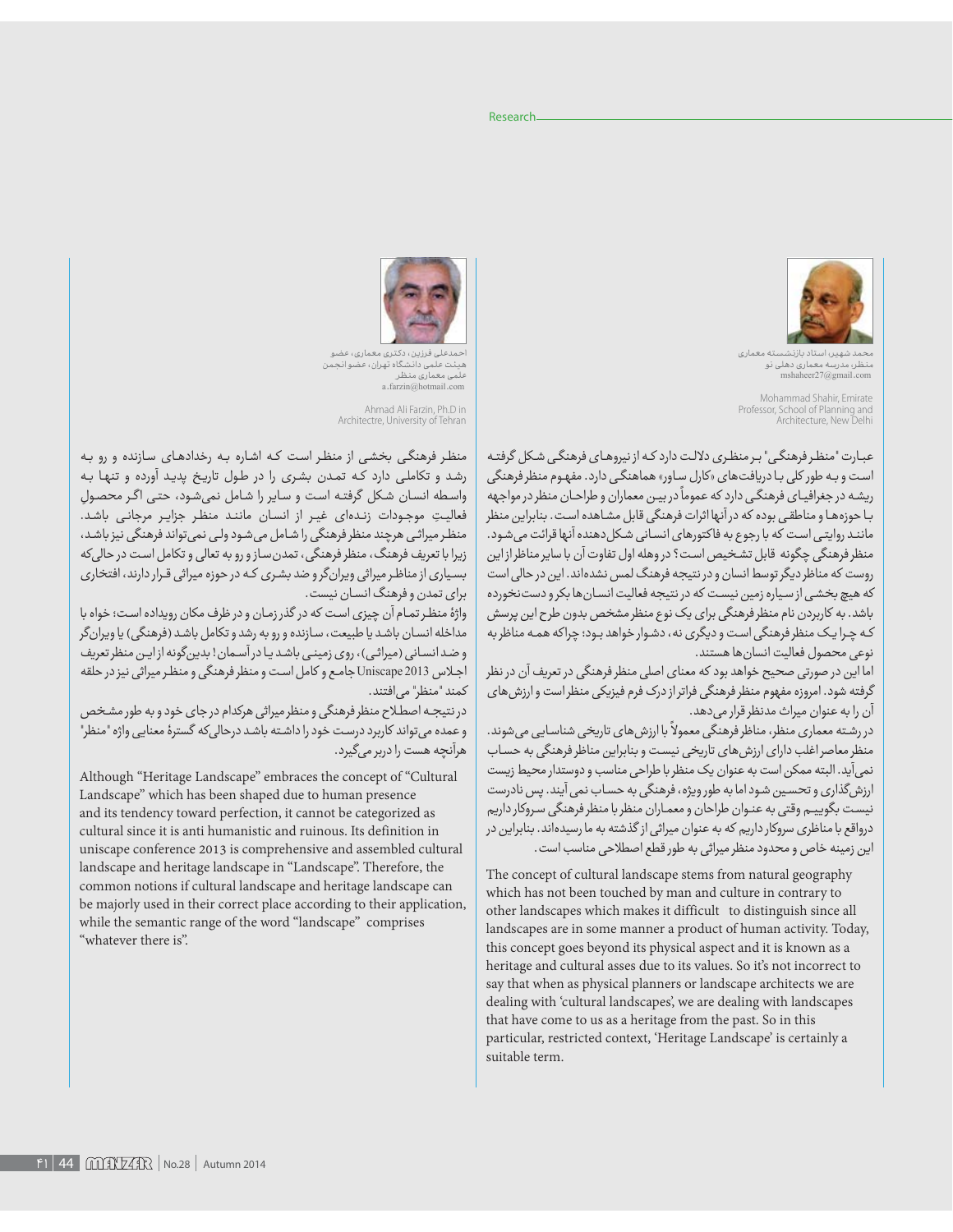

نه معماری منظر، مدرسه معماری دهلی نو<br>mshaheer27@gmail.com

Mohammad Shahir, Emirate Professor, School of Planning and Architecture, New Delhi

عبارت "منظر فرهنگی" برمنظری دلالت دارد که از نیروهای فرهنگی شکل گرفته است و بـه طور کلی بـا دریافت های «کارل سـاور» هماهنگـی دارد. مفهـوم منظر فرهنگی ریشه در جغرافیای فرهنگی دارد که عموماً در بیـن معماران و طراحـان منظر در مواجهه بـا حوزههـا و مناطقـى بوده كه در آنها اثرات فرهنگى قابل مشـاهده است. بنابراين منظر مانند روایتی است که با رجوع به فاکتورهای انسانی شکل دهنده آنها قرائت می شود. منظر فرهنگی چگونه قابل تشخیص است؟ در وهله اول تفاوت آن با سایر مناظراز این روست که مناظر دیگر توسط انسان و در نتیجه فرهنگ لمس نشدهاند. این در حالی است که هیچ بخشی از سیاره زمین نیست که در نتیجه فعالیت انسان ها بکرو دست نخورده باشد. به کاربردن نام منظر فرهنگی برای یک نوع منظر مشخص بدون طرح این پرسش که چرا یک منظر فرهنگی است و دیگری نه، دشوار خواهد بود؛ چراکه همه مناظر به نوعي محصول فعاليت انسان ها هستند.

اما این در صورتی صحیح خواهد بود که معنای اصلی منظر فرهنگی در تعریف آن در نظر گرفته شود. امروزه مفهوم منظر فرهنگی فراتر از درک فرم فیزیکی منظر است و ارزش های آن را به عنوان میراث مدنظر قرار می دهد.

در رشته معماری منظر، مناظر فرهنگی معمولاً با ارزش های تاریخی شناسایی می شوند. منظر معاصر اغلب دارای ارزش های تاریخی نیست و بنابراین مناظر فرهنگی به حساب نمی آید. البته ممکن است به عنوان یک منظر با طراحی مناسب و دوستدار محیط زیست ارزش گذاری و تحسین شود اما به طور ویژه، فرهنگی به حساب نمی آیند. پس نادرست نیست بگوییم وقتی به عنوان طراحان و معماران منظر با منظر فرهنگی سروکار داریم درواقع با مناظری سروکار داریم که به عنوان میراثی از گذشته به ما رسیدهاند. بنابراین در این زمینه خاص و محدود منظر میراثی به طور قطع اصطلاحی مناسب است.

The concept of cultural landscape stems from natural geography which has not been touched by man and culture in contrary to other landscapes which makes it difficult to distinguish since all landscapes are in some manner a product of human activity. Today, this concept goes beyond its physical aspect and it is known as a heritage and cultural asses due to its values. So it's not incorrect to say that when as physical planners or landscape architects we are dealing with 'cultural landscapes', we are dealing with landscapes that have come to us as a heritage from the past. So in this particular, restricted context, 'Heritage Landscape' is certainly a suitable term.



ی فرزین، دکتری معماری، عضو میئت علمی دانشگاه تهران، عضو انجمن ۔<br>علمی معماری منظر a.farzin@hotmail.com

Ahmad Ali Farzin, Ph.D in Architectre, University of Tehran

منظر فرهنگی بخشی از منظر است که اشاره به رخدادهای سازنده و رو به رشد و تکاملی دارد که تمدن بشری را در طول تاریخ پدید آورده و تنها به واسطه انسان شكل گرفته است و ساير را شامل نمىشود، حتى اگر محصولِ فعالیتِ موجودات زندهای غیر از انسان مانند منظر جزایر مرجانی باشد. منظر میراثی هرچند منظر فرهنگی را شامل میشود ولی نمی تواند فرهنگی نیز باشد، زیرا با تعریف فرهنگ، منظر فرهنگی، تمدن ساز و رو به تعالی و تکامل است در حالی که بسیاری از مناظر میراثی ویران گرو ضد بشری که در حوزه میراثی قرار دارند، افتخاری برای تمدن و فرهنگ انسان نیست.

واژهٔ منظر تمام آن چیزی است که در گذر زمان و در ظرف مکان رویداده است؛ خواه با مداخله انسان باشد یا طبیعت، سازنده و رو به رشد و تکامل باشد (فرهنگی) یا ویرانگر و ضد انسانی (میراثی)، روی زمینی باشد یا در آسمان! بدینگونه ازاین منظر تعریف اجلاس Uniscape 2013 جامع و كامل است و منظر فرهنگی و منظر میراثی نیز در حلقه كمند "منظر" مى افتند.

در نتیجه اصطلاح منظر فرهنگی و منظر میراثی هرکدام در جای خود و به طور مشخص و عمده می تواند کاربرد درست خود را داشته باشد درحالی که گسترهٔ معنایی واژه "منظر" هرآنچه هست را دربر میگیرد.

Although "Heritage Landscape" embraces the concept of "Cultural Landscape" which has been shaped due to human presence and its tendency toward perfection, it cannot be categorized as cultural since it is anti humanistic and ruinous. Its definition in uniscape conference 2013 is comprehensive and assembled cultural landscape and heritage landscape in "Landscape". Therefore, the common notions if cultural landscape and heritage landscape can be majorly used in their correct place according to their application, while the semantic range of the word "landscape" comprises "whatever there is".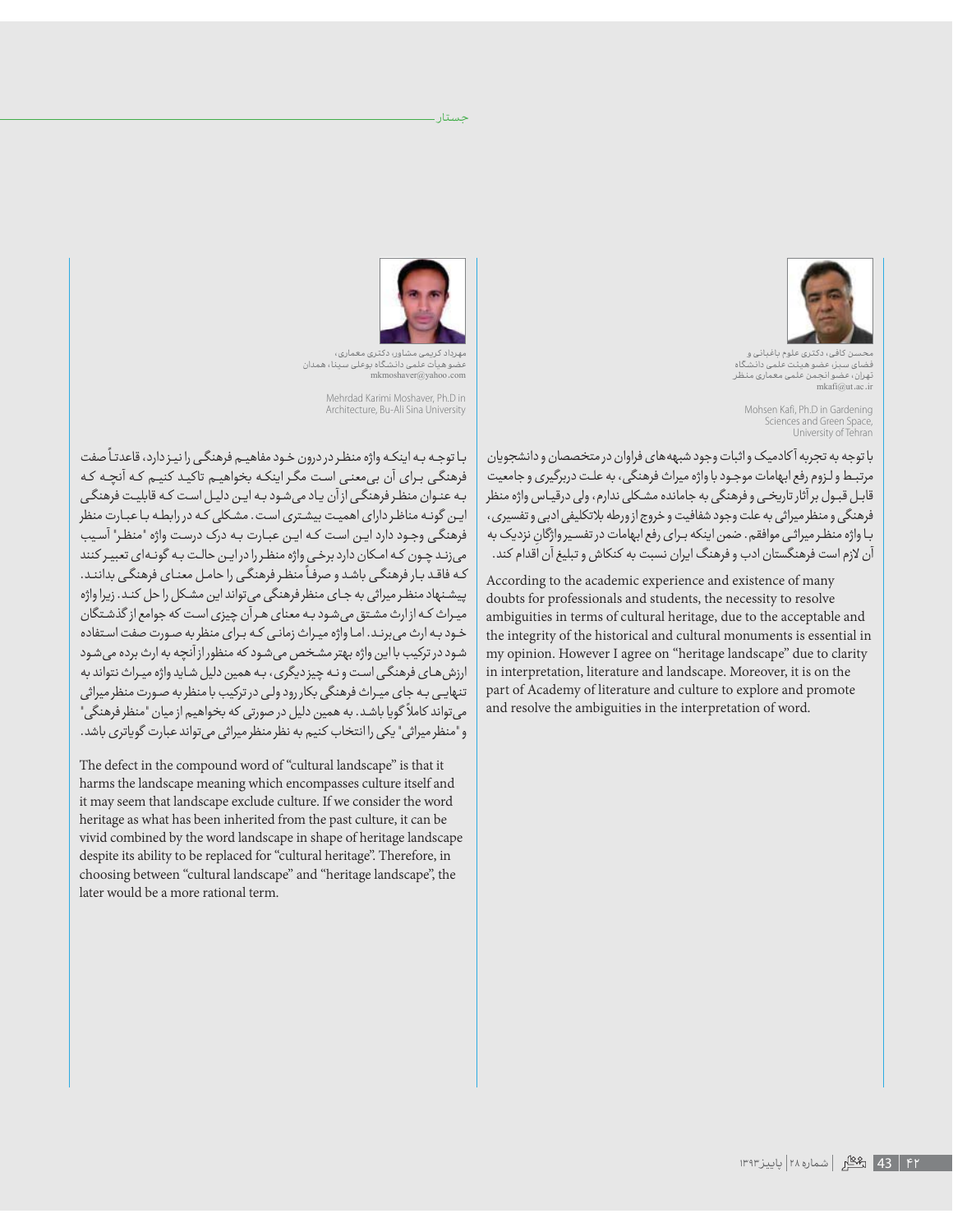

ن کافئ، دکتری علوم باغبانی و بز، عضو هيئت علمي دانـا تهران، عضو انجمن علمی معماری منظر  $mkafi@ut.ac.ir$ 

Mohsen Kafi, Ph.D in Gardening Sciences and Green Space,<br>University of Tehran

با توجه به تجربه آكادميك واثبات وجود شبهه هاى فراوان در متخصصان و دانشجويان مرتبـط و لـزوم رفع ابهامات موجـود با واژه میراث فرهنگی، به علـت دربرگیری و جامعیت قابـل قبـول بر آثار تاریخـی و فرهنگی به جامانده مشـکلی ندارم، ولی درقیـاس واژه منظر فرهنگی و منظر میراثی به علت وجود شفافیت و خروج از ورطه بلاتکلیفی ادبی و تفسیری، با واژه منظر میراثی موافقم. ضمن اینکه برای رفع ابهامات در تفسیر واژگان نزدیک به آن لازم است فرهنگستان ادب و فرهنگ ایران نسبت به کنکاش و تبلیغ آن اقدام کند.

According to the academic experience and existence of many doubts for professionals and students, the necessity to resolve ambiguities in terms of cultural heritage, due to the acceptable and the integrity of the historical and cultural monuments is essential in my opinion. However I agree on "heritage landscape" due to clarity in interpretation, literature and landscape. Moreover, it is on the part of Academy of literature and culture to explore and promote and resolve the ambiguities in the interpretation of word.



حستار ۔

ریمی مشاور، دکتری معماری، لو هیأت علمی دانشگاه بوعلی سینا، همدان  $m$ kmoshaver@vahoo.com

Mehrdad Karimi Moshaver, Ph.D in Architecture, Bu-Ali Sina University

با توجه به اینکه واژه منظر در درون خود مفاهیـم فرهنگـی را نیـز دارد، قاعدتـاً صفت فرهنگی برای آن بی،معنی است مگر اینکه بخواهیم تاکید کنیم که آنچه که به عنوان منظر فرهنگی ازآن یاد میشود به این دلیل است که قابلیت فرهنگی این گونـه مناظـردارای اهمیت بیشـتری اسـت. مشـکلی کـه در رابطـه بـا عبـارت منظر فرهنگی وجود دارد ایـن است کـه ایـن عبـارت بـه درک درست واژه "منظـر" آسـیب می زند چون که امکان دارد برخی واژه منظر را در این حالت به گونهای تعبیر کنند کـه فاقـد بـار فرهنگـی باشـد و صرفـاً منظـر فرهنگـی را حامـل معنـای فرهنگـی بداننـد. پیشنهاد منظر میراثی به جای منظر فرهنگی می تواند این مشکل را حل کند. زیرا واژه میراث که ازارث مشتق می شود به معنای هرآن چیزی است که جوامع از گذشتگان خود به ارث می برنـد. امـا واژه میـراث زمانـی کـه بـرای منظر به صـورت صفت اسـتفاده شود در ترکیب با این واژه بهتر مشخص میشود که منظور از آنچه به ارث برده می شود ارزش های فرهنگی است و نه چیز دیگری، به همین دلیل شاید واژه میراث نتواند به تنهایی به جای میراث فرهنگی بکار رود ولی در ترکیب با منظر به صورت منظر میراثی می تواند کاملاً گویا باشد. به همین دلیل در صورتی که بخواهیم از میان "منظر فرهنگی" و "منظر میراثی" یکی را انتخاب کنیم به نظر منظر میراثی میتواند عبارت گویاتری باشد.

The defect in the compound word of "cultural landscape" is that it harms the landscape meaning which encompasses culture itself and it may seem that landscape exclude culture. If we consider the word heritage as what has been inherited from the past culture, it can be vivid combined by the word landscape in shape of heritage landscape despite its ability to be replaced for "cultural heritage". Therefore, in choosing between "cultural landscape" and "heritage landscape", the later would be a more rational term.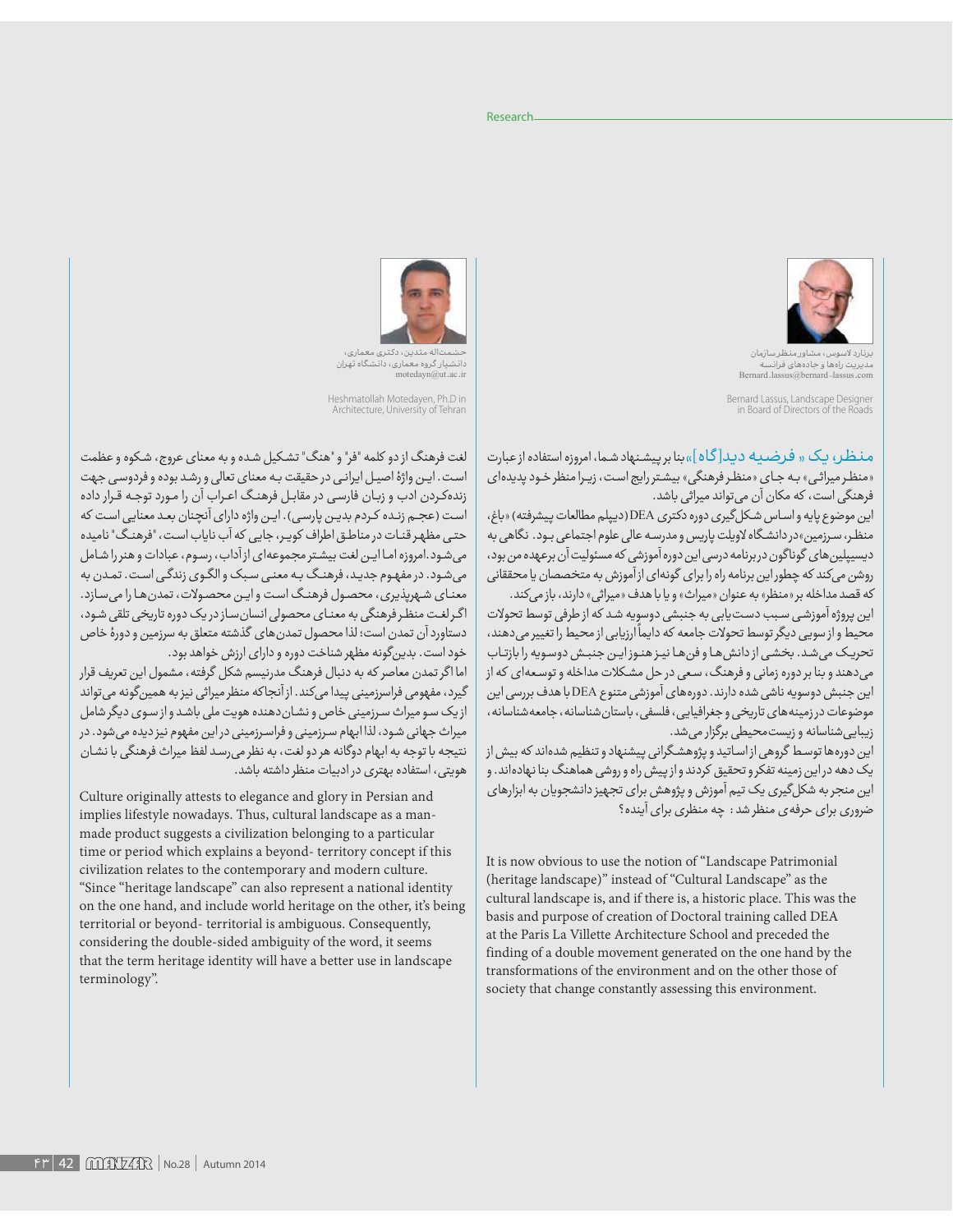

بردرد<br>مدیریت راهها و جادههای فرانسه<br>Bernard .lassus@bernard \_lassus.com

Bernard Lassus, Landscape Designer in Board of Directors of the Roads

مـنـظـر، یـک « فـرضـیـه دیـد[گـاه]»بنا برییشـنهادشـما، امروزه استفاده ازعبارت «منظر میراثی» به جای «منظر فرهنگی» بیشتر رایج است، زیرا منظر خود پدیدهای فرهنگی است، که مکان آن می تواند میراثی باشد.

اين موضوع پايه واساس شكل گيري دوره دكتري DEA (ديپلم مطالعات پيشرفته) «باغ، منظر، سرزمین»در دانشگاه لاویلت پاریس و مدرسه عالی علوم اجتماعی بـود. نگاهی به دیسیپلین های گوناگون در برنامه درسی این دوره آموزشی که مسئولیت آن برعهده من بود، روشن می کند که چطور این برنامه راه را برای گونهای از آموزش به متخصصان یا محققانی كه قصد مداخله بر «منظر» به عنوان «ميراث» ويا با هدف «ميراثي» دارند، باز مي كند.

این پروژه آموزشی سبب دست یابی به جنبشی دوسویه شد که از طرفی توسط تحولات محیط و از سویی دیگر توسط تحولات جامعه که دایماً ارزیابی از محیط را تغییر میدهند، تحریک می شد. بخشی از دانش ها و فن ها نیز هنوز این جنبش دوسویه را بازتاب میدهند و بنا بر دوره زمانی و فرهنگ، سعی در حل مشکلات مداخله و توسعهای که از این جنبش دوسویه ناشی شده دارند. دورههای آموزشی متنوع DEA با هدف بررسی این موضوعات در زمینه های تاریخی و جغرافیایی، فلسفی، باستان شناسانه، جامعه شناسانه، زیبایی شناسانه و زیست محیطی برگزار می شد.

این دورهها توسط گروهی ازاساتید و پژوهشگرانی پیشنهاد و تنظیم شدهاند که بیش از یک دهه دراین زمینه تفکر و تحقیق کردند و از پیش راه و روشی هماهنگ بنا نهادهاند. و این منجر به شکل گیری یک تیم آموزش و پژوهش برای تجهیز دانشجویان به ابزارهای ضروری برای حرفه ی منظر شد : چه منظری برای آینده؟

It is now obvious to use the notion of "Landscape Patrimonial (heritage landscape)" instead of "Cultural Landscape" as the cultural landscape is, and if there is, a historic place. This was the basis and purpose of creation of Doctoral training called DEA at the Paris La Villette Architecture School and preceded the finding of a double movement generated on the one hand by the transformations of the environment and on the other those of society that change constantly assessing this environment.



حشمتاله متدین، دکتری معماری،<br>دانشیار گروه معماری، دانشگاه تهران motedayn@ut.ac.ii

Heshmatollah Motedayen, Ph.D in Architecture, University of Tehran

لغت فرهنگ از دو کلمه "فر" و "هنگ" تشکیل شده و به معنای عروج، شکوه و عظمت است. این واژهٔ اصیل ایرانی در حقیقت به معنای تعالی و رشد بوده و فردوسی جهت زندهکردن ادب و زبان فارسی در مقابل فرهنگ اعراب آن را مورد توجه قرار داده است (عجـم زنـده كـردم بديـن پارسـى). ايـن واژه داراى آنچنان بعـد معنايى است كه حتبی مظهر قنات در مناطق اطراف کویر، جایی که آب نایاب است، "فرهنگ" نامیده می شود.امروزه اما این لغت بیشتر مجموعهای از آداب، رسوم، عبادات و هنر را شامل می شود. در مفهوم جدید، فرهنگ به معنی سبک والگوی زندگی است. تمدن به معنای شهریذیری، محصول فرهنگ است و این محصولات، تمدن ها را می سازد. اگرلغت منظر فرهنگی به معنای محصولی انسان ساز دریک دوره تاریخی تلقی شود، دستاورد آن تمدن است؛ لذا محصول تمدن های گذشته متعلق به سرزمین و دورهٔ خاص خود است. بدین گونه مظهر شناخت دوره و دارای ارزش خواهد بود. اما اگر تمدن معاصر که به دنبال فرهنگ مدرنیسم شکل گرفته، مشمول این تعریف قرار

گیرد، مفهومی فراسرزمینی پیدا میکند. از آنجاکه منظر میراثی نیز به همینگونه میتواند ازیک سو میراث سرزمینی خاص و نشان دهنده هویت ملی باشد و از سوی دیگر شامل میراث جهانی شود، لذا ابهام سرزمینی و فراسرزمینی در این مفهوم نیز دیده می شود. در نتیجه با توجه به ابهام دوگانه هر دو لغت، به نظر می رسد لفظ میراث فرهنگی با نشان هویتی، استفاده بهتری در ادبیات منظر داشته باشد.

Culture originally attests to elegance and glory in Persian and implies lifestyle nowadays. Thus, cultural landscape as a manmade product suggests a civilization belonging to a particular time or period which explains a beyond-territory concept if this civilization relates to the contemporary and modern culture. "Since "heritage landscape" can also represent a national identity on the one hand, and include world heritage on the other, it's being territorial or beyond- territorial is ambiguous. Consequently, considering the double-sided ambiguity of the word, it seems that the term heritage identity will have a better use in landscape terminology".